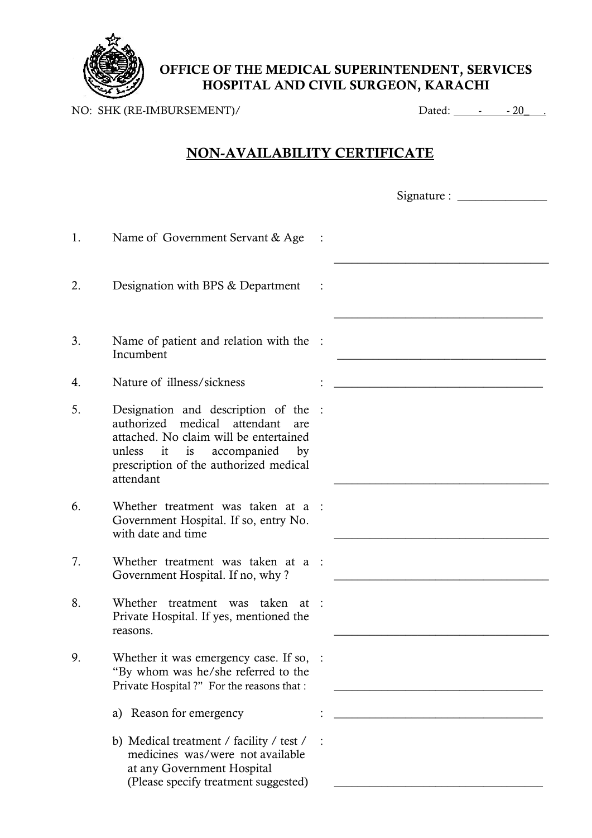

**OFFICE OF THE MEDICAL SUPERINTENDENT, SERVICES HOSPITAL AND CIVIL SURGEON, KARACHI**

NO: SHK (RE-IMBURSEMENT)/ Dated: 1 20

## **NON-AVAILABILITY CERTIFICATE**

|    |                                                                                                                                                                                                                   | Signature : $\frac{1}{\sqrt{1-\frac{1}{2}}}\cdot\frac{1}{\sqrt{1-\frac{1}{2}}}\cdot\frac{1}{\sqrt{1-\frac{1}{2}}}\cdot\frac{1}{\sqrt{1-\frac{1}{2}}}\cdot\frac{1}{\sqrt{1-\frac{1}{2}}}\cdot\frac{1}{\sqrt{1-\frac{1}{2}}}\cdot\frac{1}{\sqrt{1-\frac{1}{2}}}\cdot\frac{1}{\sqrt{1-\frac{1}{2}}}\cdot\frac{1}{\sqrt{1-\frac{1}{2}}}\cdot\frac{1}{\sqrt{1-\frac{1}{2}}}\cdot\frac{1}{\sqrt{1-\frac{1}{2}}}\cdot\frac{1}{\sqrt{1-\$ |  |  |  |
|----|-------------------------------------------------------------------------------------------------------------------------------------------------------------------------------------------------------------------|-----------------------------------------------------------------------------------------------------------------------------------------------------------------------------------------------------------------------------------------------------------------------------------------------------------------------------------------------------------------------------------------------------------------------------------|--|--|--|
| 1. | Name of Government Servant & Age                                                                                                                                                                                  |                                                                                                                                                                                                                                                                                                                                                                                                                                   |  |  |  |
| 2. | Designation with BPS & Department                                                                                                                                                                                 |                                                                                                                                                                                                                                                                                                                                                                                                                                   |  |  |  |
| 3. | Name of patient and relation with the :<br>Incumbent                                                                                                                                                              |                                                                                                                                                                                                                                                                                                                                                                                                                                   |  |  |  |
| 4. | Nature of illness/sickness                                                                                                                                                                                        |                                                                                                                                                                                                                                                                                                                                                                                                                                   |  |  |  |
| 5. | Designation and description of the :<br>authorized medical attendant<br>are<br>attached. No claim will be entertained<br>unless it is<br>accompanied<br>by<br>prescription of the authorized medical<br>attendant |                                                                                                                                                                                                                                                                                                                                                                                                                                   |  |  |  |
| 6. | Whether treatment was taken at a :<br>Government Hospital. If so, entry No.<br>with date and time                                                                                                                 |                                                                                                                                                                                                                                                                                                                                                                                                                                   |  |  |  |
| 7. | Whether treatment was taken at a :<br>Government Hospital. If no, why?                                                                                                                                            |                                                                                                                                                                                                                                                                                                                                                                                                                                   |  |  |  |
| 8. | Whether treatment was taken at :<br>Private Hospital. If yes, mentioned the<br>reasons.                                                                                                                           |                                                                                                                                                                                                                                                                                                                                                                                                                                   |  |  |  |
| 9. | Whether it was emergency case. If so, :<br>"By whom was he/she referred to the<br>Private Hospital?" For the reasons that :                                                                                       |                                                                                                                                                                                                                                                                                                                                                                                                                                   |  |  |  |
|    | a) Reason for emergency                                                                                                                                                                                           |                                                                                                                                                                                                                                                                                                                                                                                                                                   |  |  |  |
|    | b) Medical treatment / facility / test /<br>medicines was/were not available<br>at any Government Hospital<br>(Please specify treatment suggested)                                                                |                                                                                                                                                                                                                                                                                                                                                                                                                                   |  |  |  |